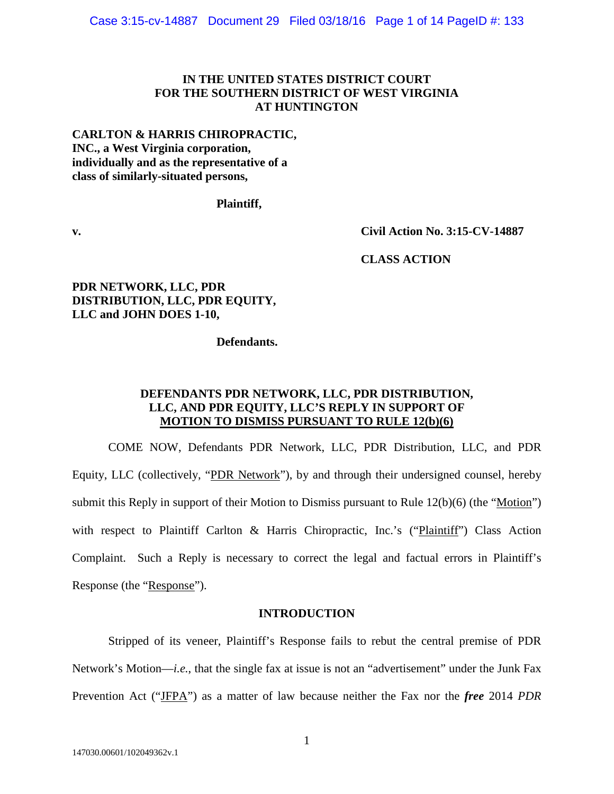# **IN THE UNITED STATES DISTRICT COURT FOR THE SOUTHERN DISTRICT OF WEST VIRGINIA AT HUNTINGTON**

## **CARLTON & HARRIS CHIROPRACTIC, INC., a West Virginia corporation, individually and as the representative of a class of similarly-situated persons,**

## **Plaintiff,**

**v. Civil Action No. 3:15-CV-14887** 

 **CLASS ACTION**

# **PDR NETWORK, LLC, PDR DISTRIBUTION, LLC, PDR EQUITY, LLC and JOHN DOES 1-10,**

 **Defendants.**

# **DEFENDANTS PDR NETWORK, LLC, PDR DISTRIBUTION, LLC, AND PDR EQUITY, LLC'S REPLY IN SUPPORT OF MOTION TO DISMISS PURSUANT TO RULE 12(b)(6)**

COME NOW, Defendants PDR Network, LLC, PDR Distribution, LLC, and PDR Equity, LLC (collectively, "PDR Network"), by and through their undersigned counsel, hereby submit this Reply in support of their Motion to Dismiss pursuant to Rule 12(b)(6) (the "Motion") with respect to Plaintiff Carlton & Harris Chiropractic, Inc.'s ("Plaintiff") Class Action Complaint. Such a Reply is necessary to correct the legal and factual errors in Plaintiff's Response (the "Response").

## **INTRODUCTION**

Stripped of its veneer, Plaintiff's Response fails to rebut the central premise of PDR Network's Motion—*i.e.*, that the single fax at issue is not an "advertisement" under the Junk Fax Prevention Act ("JFPA") as a matter of law because neither the Fax nor the *free* 2014 *PDR*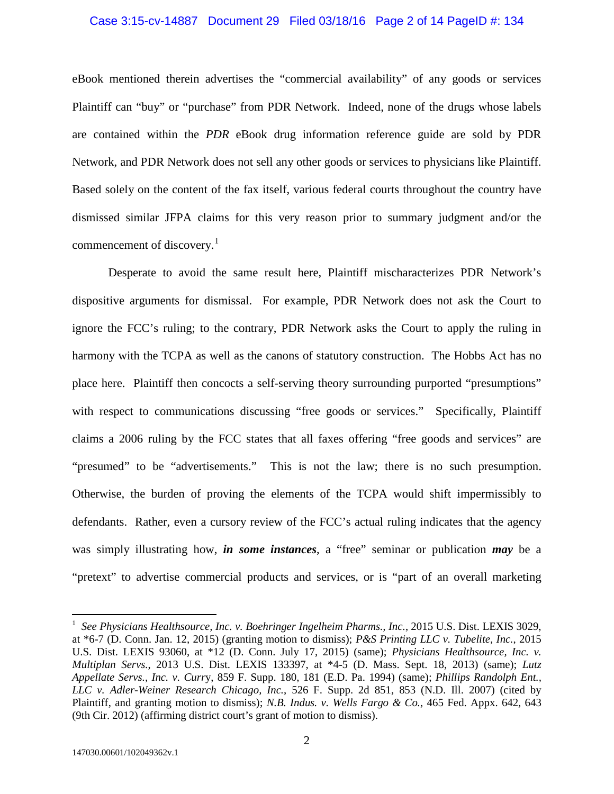#### Case 3:15-cv-14887 Document 29 Filed 03/18/16 Page 2 of 14 PageID #: 134

eBook mentioned therein advertises the "commercial availability" of any goods or services Plaintiff can "buy" or "purchase" from PDR Network. Indeed, none of the drugs whose labels are contained within the *PDR* eBook drug information reference guide are sold by PDR Network, and PDR Network does not sell any other goods or services to physicians like Plaintiff. Based solely on the content of the fax itself, various federal courts throughout the country have dismissed similar JFPA claims for this very reason prior to summary judgment and/or the commencement of discovery.<sup>[1](#page-1-0)</sup>

Desperate to avoid the same result here, Plaintiff mischaracterizes PDR Network's dispositive arguments for dismissal. For example, PDR Network does not ask the Court to ignore the FCC's ruling; to the contrary, PDR Network asks the Court to apply the ruling in harmony with the TCPA as well as the canons of statutory construction. The Hobbs Act has no place here. Plaintiff then concocts a self-serving theory surrounding purported "presumptions" with respect to communications discussing "free goods or services." Specifically, Plaintiff claims a 2006 ruling by the FCC states that all faxes offering "free goods and services" are "presumed" to be "advertisements." This is not the law; there is no such presumption. Otherwise, the burden of proving the elements of the TCPA would shift impermissibly to defendants. Rather, even a cursory review of the FCC's actual ruling indicates that the agency was simply illustrating how, *in some instances*, a "free" seminar or publication *may* be a "pretext" to advertise commercial products and services, or is "part of an overall marketing

<span id="page-1-0"></span><sup>&</sup>lt;sup>1</sup> See Physicians Healthsource, Inc. v. Boehringer Ingelheim Pharms., Inc., 2015 U.S. Dist. LEXIS 3029, at \*6-7 (D. Conn. Jan. 12, 2015) (granting motion to dismiss); *P&S Printing LLC v. Tubelite, Inc.*, 2015 U.S. Dist. LEXIS 93060, at \*12 (D. Conn. July 17, 2015) (same); *Physicians Healthsource, Inc. v. Multiplan Servs.*, 2013 U.S. Dist. LEXIS 133397, at \*4-5 (D. Mass. Sept. 18, 2013) (same); *Lutz Appellate Servs., Inc. v. Curr*y, 859 F. Supp. 180, 181 (E.D. Pa. 1994) (same); *Phillips Randolph Ent., LLC v. Adler-Weiner Research Chicago, Inc.*, 526 F. Supp. 2d 851, 853 (N.D. Ill. 2007) (cited by Plaintiff, and granting motion to dismiss); *N.B. Indus. v. Wells Fargo & Co.*, 465 Fed. Appx. 642, 643 (9th Cir. 2012) (affirming district court's grant of motion to dismiss).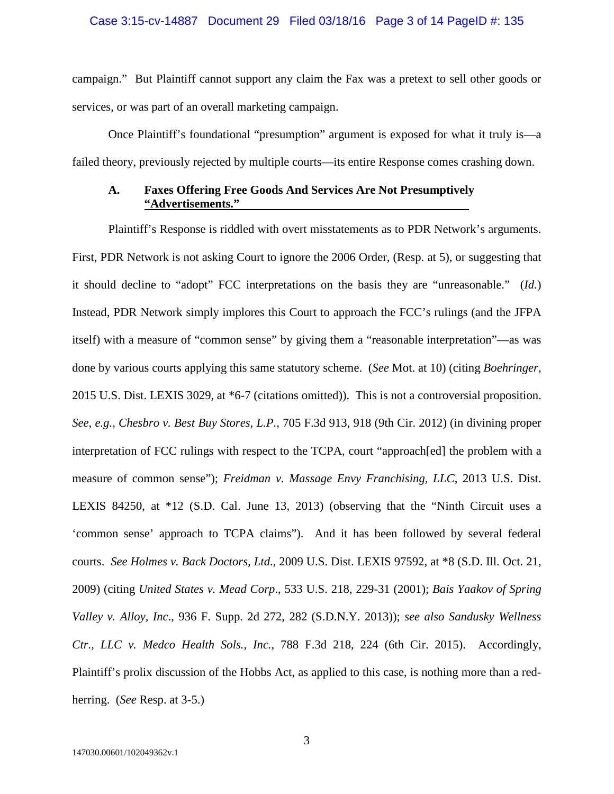## Case 3:15-cv-14887 Document 29 Filed 03/18/16 Page 3 of 14 PageID #: 135

campaign." But Plaintiff cannot support any claim the Fax was a pretext to sell other goods or services, or was part of an overall marketing campaign.

Once Plaintiff's foundational "presumption" argument is exposed for what it truly is—a failed theory, previously rejected by multiple courts—its entire Response comes crashing down.

## **A. Faxes Offering Free Goods And Services Are Not Presumptively "Advertisements."**

Plaintiff's Response is riddled with overt misstatements as to PDR Network's arguments. First, PDR Network is not asking Court to ignore the 2006 Order, (Resp. at 5), or suggesting that it should decline to "adopt" FCC interpretations on the basis they are "unreasonable." (*Id.*) Instead, PDR Network simply implores this Court to approach the FCC's rulings (and the JFPA itself) with a measure of "common sense" by giving them a "reasonable interpretation"—as was done by various courts applying this same statutory scheme. (*See* Mot. at 10) (citing *Boehringer*, 2015 U.S. Dist. LEXIS 3029, at \*6-7 (citations omitted)). This is not a controversial proposition. *See, e.g., Chesbro v. Best Buy Stores, L.P.*, 705 F.3d 913, 918 (9th Cir. 2012) (in divining proper interpretation of FCC rulings with respect to the TCPA, court "approach[ed] the problem with a measure of common sense"); *Freidman v. Massage Envy Franchising, LLC*, 2013 U.S. Dist. LEXIS 84250, at \*12 (S.D. Cal. June 13, 2013) (observing that the "Ninth Circuit uses a 'common sense' approach to TCPA claims"). And it has been followed by several federal courts. *See Holmes v. Back Doctors, Ltd*., 2009 U.S. Dist. LEXIS 97592, at \*8 (S.D. Ill. Oct. 21, 2009) (citing *United States v. Mead Corp*., 533 U.S. 218, 229-31 (2001); *Bais Yaakov of Spring Valley v. Alloy, Inc*., 936 F. Supp. 2d 272, 282 (S.D.N.Y. 2013)); *see also Sandusky Wellness Ctr., LLC v. Medco Health Sols., Inc.*, 788 F.3d 218, 224 (6th Cir. 2015). Accordingly, Plaintiff's prolix discussion of the Hobbs Act, as applied to this case, is nothing more than a redherring. (*See* Resp. at 3-5.)

3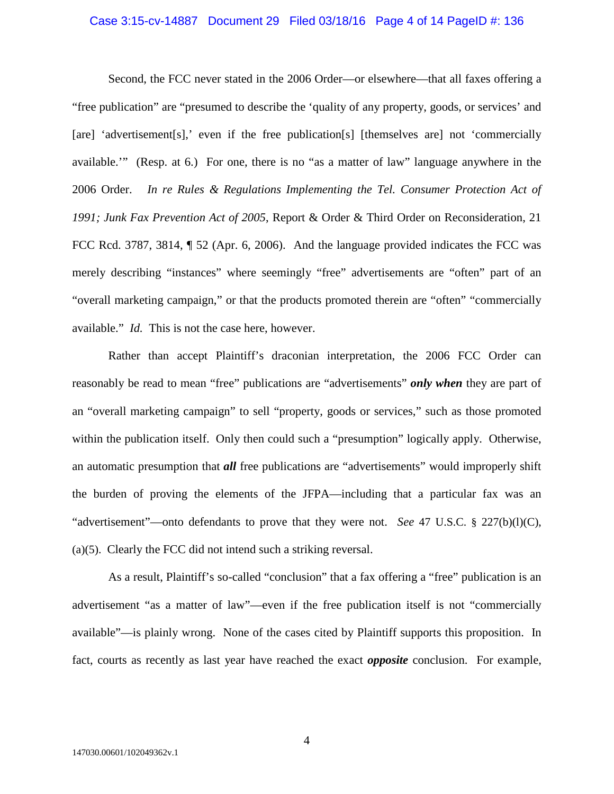# Case 3:15-cv-14887 Document 29 Filed 03/18/16 Page 4 of 14 PageID #: 136

Second, the FCC never stated in the 2006 Order—or elsewhere—that all faxes offering a "free publication" are "presumed to describe the 'quality of any property, goods, or services' and [are] 'advertisement[s],' even if the free publication[s] [themselves are] not 'commercially available.'" (Resp. at 6.) For one, there is no "as a matter of law" language anywhere in the 2006 Order. *In re Rules & Regulations Implementing the Tel. Consumer Protection Act of 1991; Junk Fax Prevention Act of 2005*, Report & Order & Third Order on Reconsideration, 21 FCC Rcd. 3787, 3814,  $\parallel$  52 (Apr. 6, 2006). And the language provided indicates the FCC was merely describing "instances" where seemingly "free" advertisements are "often" part of an "overall marketing campaign," or that the products promoted therein are "often" "commercially available." *Id.* This is not the case here, however.

Rather than accept Plaintiff's draconian interpretation, the 2006 FCC Order can reasonably be read to mean "free" publications are "advertisements" *only when* they are part of an "overall marketing campaign" to sell "property, goods or services," such as those promoted within the publication itself. Only then could such a "presumption" logically apply. Otherwise, an automatic presumption that *all* free publications are "advertisements" would improperly shift the burden of proving the elements of the JFPA—including that a particular fax was an "advertisement"—onto defendants to prove that they were not. *See* 47 U.S.C. § 227(b)(l)(C), (a)(5). Clearly the FCC did not intend such a striking reversal.

As a result, Plaintiff's so-called "conclusion" that a fax offering a "free" publication is an advertisement "as a matter of law"—even if the free publication itself is not "commercially available"—is plainly wrong. None of the cases cited by Plaintiff supports this proposition. In fact, courts as recently as last year have reached the exact *opposite* conclusion. For example,

4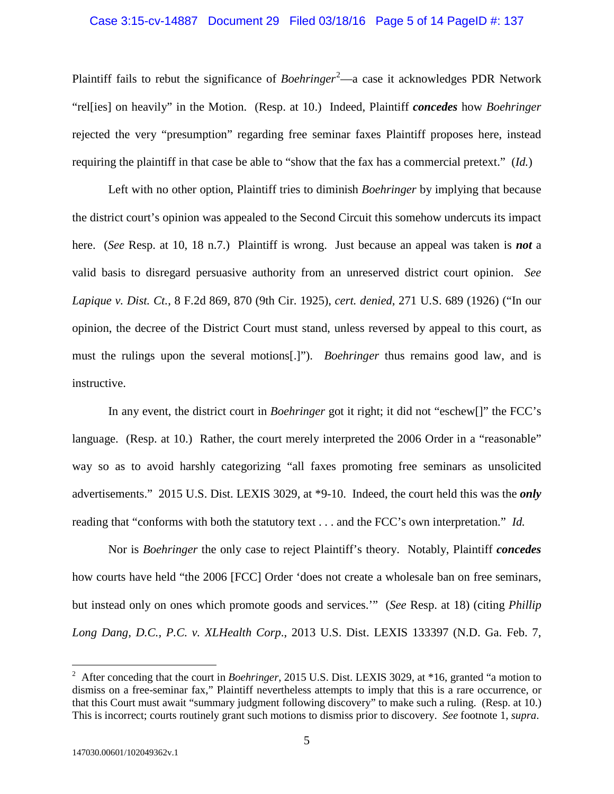#### Case 3:15-cv-14887 Document 29 Filed 03/18/16 Page 5 of 14 PageID #: 137

Plaintiff fails to rebut the significance of *Boehringer*<sup>[2](#page-4-0)</sup>—a case it acknowledges PDR Network "rel[ies] on heavily" in the Motion. (Resp. at 10.) Indeed, Plaintiff *concedes* how *Boehringer*  rejected the very "presumption" regarding free seminar faxes Plaintiff proposes here, instead requiring the plaintiff in that case be able to "show that the fax has a commercial pretext." (*Id.*)

Left with no other option, Plaintiff tries to diminish *Boehringer* by implying that because the district court's opinion was appealed to the Second Circuit this somehow undercuts its impact here. (*See* Resp. at 10, 18 n.7.) Plaintiff is wrong. Just because an appeal was taken is *not* a valid basis to disregard persuasive authority from an unreserved district court opinion. *See Lapique v. Dist. Ct.*, 8 F.2d 869, 870 (9th Cir. 1925), *cert. denied*, 271 U.S. 689 (1926) ("In our opinion, the decree of the District Court must stand, unless reversed by appeal to this court, as must the rulings upon the several motions[.]"). *Boehringer* thus remains good law, and is instructive.

In any event, the district court in *Boehringer* got it right; it did not "eschew[]" the FCC's language. (Resp. at 10.) Rather, the court merely interpreted the 2006 Order in a "reasonable" way so as to avoid harshly categorizing "all faxes promoting free seminars as unsolicited advertisements." 2015 U.S. Dist. LEXIS 3029, at \*9-10. Indeed, the court held this was the *only* reading that "conforms with both the statutory text . . . and the FCC's own interpretation." *Id.*

Nor is *Boehringer* the only case to reject Plaintiff's theory. Notably, Plaintiff *concedes* how courts have held "the 2006 [FCC] Order 'does not create a wholesale ban on free seminars, but instead only on ones which promote goods and services.'" (*See* Resp. at 18) (citing *Phillip Long Dang, D.C., P.C. v. XLHealth Corp*., 2013 U.S. Dist. LEXIS 133397 (N.D. Ga. Feb. 7,

<span id="page-4-0"></span><sup>&</sup>lt;sup>2</sup> After conceding that the court in *Boehringer*, 2015 U.S. Dist. LEXIS 3029, at \*16, granted "a motion to dismiss on a free-seminar fax," Plaintiff nevertheless attempts to imply that this is a rare occurrence, or that this Court must await "summary judgment following discovery" to make such a ruling. (Resp. at 10.) This is incorrect; courts routinely grant such motions to dismiss prior to discovery. *See* footnote 1, *supra*.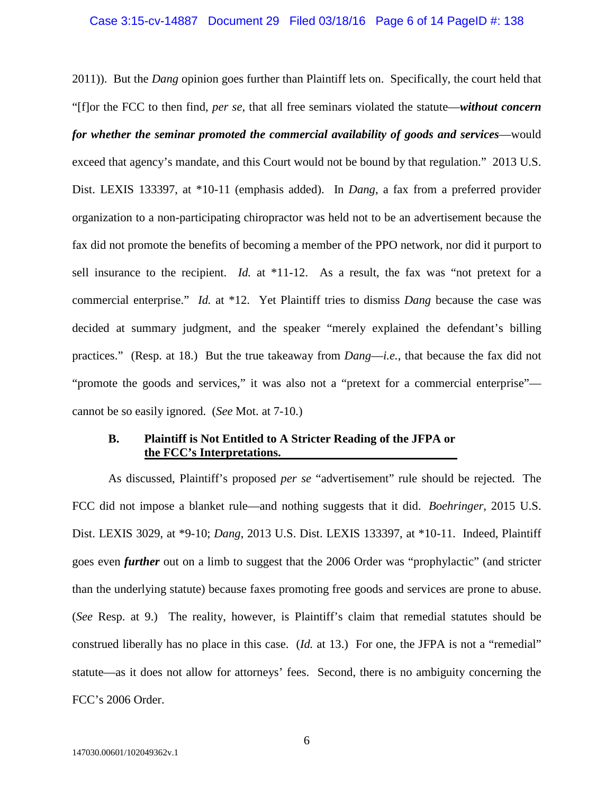# Case 3:15-cv-14887 Document 29 Filed 03/18/16 Page 6 of 14 PageID #: 138

2011)). But the *Dang* opinion goes further than Plaintiff lets on. Specifically, the court held that "[f]or the FCC to then find, *per se*, that all free seminars violated the statute—*without concern for whether the seminar promoted the commercial availability of goods and services*—would exceed that agency's mandate, and this Court would not be bound by that regulation." 2013 U.S. Dist. LEXIS 133397, at \*10-11 (emphasis added). In *Dang*, a fax from a preferred provider organization to a non-participating chiropractor was held not to be an advertisement because the fax did not promote the benefits of becoming a member of the PPO network, nor did it purport to sell insurance to the recipient. *Id.* at \*11-12. As a result, the fax was "not pretext for a commercial enterprise." *Id.* at \*12. Yet Plaintiff tries to dismiss *Dang* because the case was decided at summary judgment, and the speaker "merely explained the defendant's billing practices." (Resp. at 18.) But the true takeaway from *Dang*—*i.e.*, that because the fax did not "promote the goods and services," it was also not a "pretext for a commercial enterprise" cannot be so easily ignored. (*See* Mot. at 7-10.)

## **B. Plaintiff is Not Entitled to A Stricter Reading of the JFPA or the FCC's Interpretations.**

As discussed, Plaintiff's proposed *per se* "advertisement" rule should be rejected. The FCC did not impose a blanket rule—and nothing suggests that it did. *Boehringer*, 2015 U.S. Dist. LEXIS 3029, at \*9-10; *Dang*, 2013 U.S. Dist. LEXIS 133397, at \*10-11. Indeed, Plaintiff goes even *further* out on a limb to suggest that the 2006 Order was "prophylactic" (and stricter than the underlying statute) because faxes promoting free goods and services are prone to abuse. (*See* Resp. at 9.) The reality, however, is Plaintiff's claim that remedial statutes should be construed liberally has no place in this case. (*Id.* at 13.) For one, the JFPA is not a "remedial" statute—as it does not allow for attorneys' fees. Second, there is no ambiguity concerning the FCC's 2006 Order.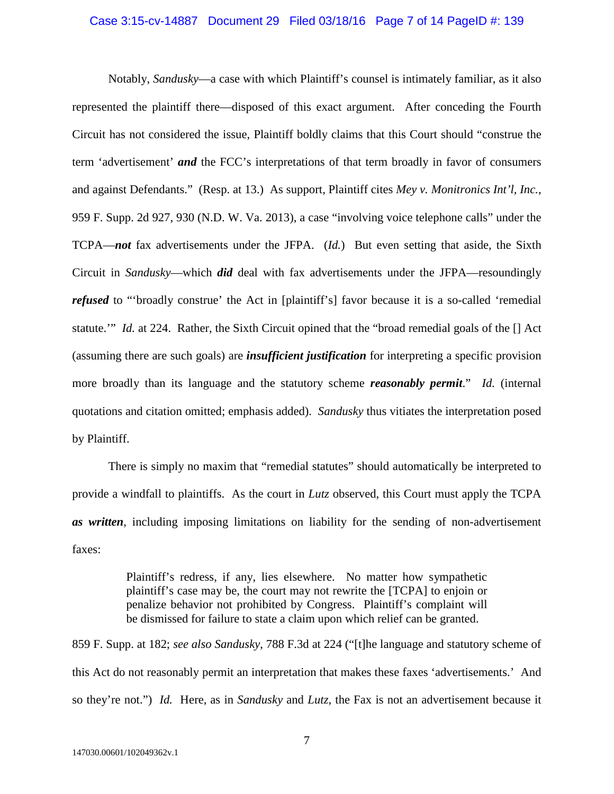#### Case 3:15-cv-14887 Document 29 Filed 03/18/16 Page 7 of 14 PageID #: 139

Notably, *Sandusky*—a case with which Plaintiff's counsel is intimately familiar, as it also represented the plaintiff there—disposed of this exact argument. After conceding the Fourth Circuit has not considered the issue, Plaintiff boldly claims that this Court should "construe the term 'advertisement' *and* the FCC's interpretations of that term broadly in favor of consumers and against Defendants." (Resp. at 13.) As support, Plaintiff cites *Mey v. Monitronics Int'l, Inc.*, 959 F. Supp. 2d 927, 930 (N.D. W. Va. 2013), a case "involving voice telephone calls" under the TCPA—*not* fax advertisements under the JFPA. (*Id.*) But even setting that aside, the Sixth Circuit in *Sandusky*—which *did* deal with fax advertisements under the JFPA—resoundingly *refused* to "broadly construe' the Act in [plaintiff's] favor because it is a so-called 'remedial statute.'" *Id.* at 224. Rather, the Sixth Circuit opined that the "broad remedial goals of the [] Act (assuming there are such goals) are *insufficient justification* for interpreting a specific provision more broadly than its language and the statutory scheme *reasonably permit*." *Id.* (internal quotations and citation omitted; emphasis added). *Sandusky* thus vitiates the interpretation posed by Plaintiff.

There is simply no maxim that "remedial statutes" should automatically be interpreted to provide a windfall to plaintiffs. As the court in *Lutz* observed, this Court must apply the TCPA *as written*, including imposing limitations on liability for the sending of non-advertisement faxes:

> Plaintiff's redress, if any, lies elsewhere. No matter how sympathetic plaintiff's case may be, the court may not rewrite the [TCPA] to enjoin or penalize behavior not prohibited by Congress. Plaintiff's complaint will be dismissed for failure to state a claim upon which relief can be granted.

859 F. Supp. at 182; *see also Sandusky*, 788 F.3d at 224 ("[t]he language and statutory scheme of this Act do not reasonably permit an interpretation that makes these faxes 'advertisements.' And so they're not.") *Id.* Here, as in *Sandusky* and *Lutz*, the Fax is not an advertisement because it

7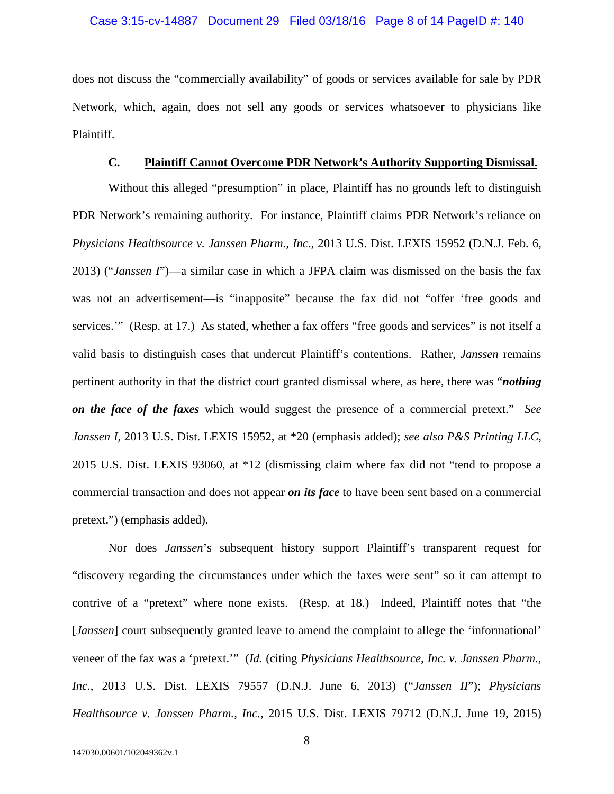## Case 3:15-cv-14887 Document 29 Filed 03/18/16 Page 8 of 14 PageID #: 140

does not discuss the "commercially availability" of goods or services available for sale by PDR Network, which, again, does not sell any goods or services whatsoever to physicians like Plaintiff.

#### **C. Plaintiff Cannot Overcome PDR Network's Authority Supporting Dismissal.**

Without this alleged "presumption" in place, Plaintiff has no grounds left to distinguish PDR Network's remaining authority. For instance, Plaintiff claims PDR Network's reliance on *Physicians Healthsource v. Janssen Pharm., Inc*., 2013 U.S. Dist. LEXIS 15952 (D.N.J. Feb. 6, 2013) ("*Janssen I*")—a similar case in which a JFPA claim was dismissed on the basis the fax was not an advertisement—is "inapposite" because the fax did not "offer 'free goods and services."" (Resp. at 17.) As stated, whether a fax offers "free goods and services" is not itself a valid basis to distinguish cases that undercut Plaintiff's contentions. Rather, *Janssen* remains pertinent authority in that the district court granted dismissal where, as here, there was "*nothing on the face of the faxes* which would suggest the presence of a commercial pretext." *See Janssen I*, 2013 U.S. Dist. LEXIS 15952, at \*20 (emphasis added); *see also P&S Printing LLC*, 2015 U.S. Dist. LEXIS 93060, at \*12 (dismissing claim where fax did not "tend to propose a commercial transaction and does not appear *on its face* to have been sent based on a commercial pretext.") (emphasis added).

Nor does *Janssen*'s subsequent history support Plaintiff's transparent request for "discovery regarding the circumstances under which the faxes were sent" so it can attempt to contrive of a "pretext" where none exists. (Resp. at 18.) Indeed, Plaintiff notes that "the [*Janssen*] court subsequently granted leave to amend the complaint to allege the 'informational' veneer of the fax was a 'pretext.'" (*Id.* (citing *Physicians Healthsource, Inc. v. Janssen Pharm., Inc.*, 2013 U.S. Dist. LEXIS 79557 (D.N.J. June 6, 2013) ("*Janssen II*"); *Physicians Healthsource v. Janssen Pharm., Inc.*, 2015 U.S. Dist. LEXIS 79712 (D.N.J. June 19, 2015)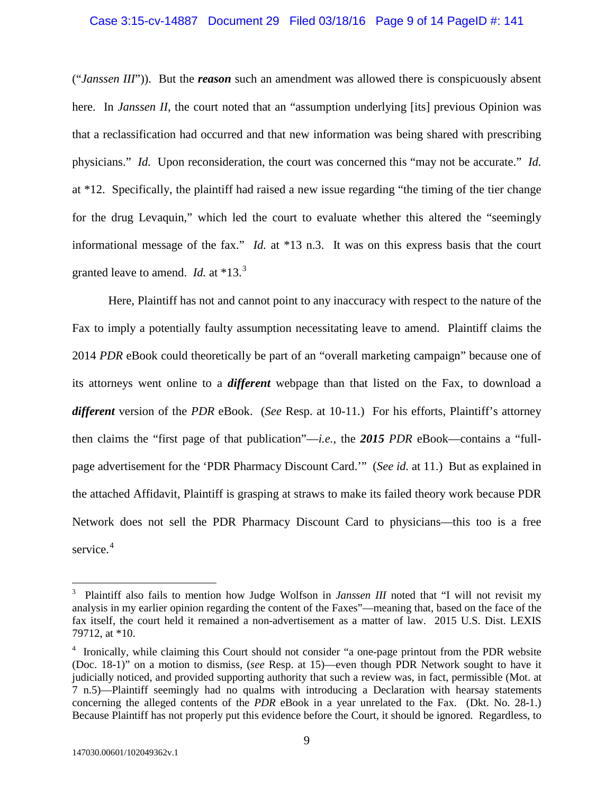#### Case 3:15-cv-14887 Document 29 Filed 03/18/16 Page 9 of 14 PageID #: 141

("*Janssen III*")). But the *reason* such an amendment was allowed there is conspicuously absent here. In *Janssen II*, the court noted that an "assumption underlying [its] previous Opinion was that a reclassification had occurred and that new information was being shared with prescribing physicians." *Id.* Upon reconsideration, the court was concerned this "may not be accurate." *Id.*  at \*12. Specifically, the plaintiff had raised a new issue regarding "the timing of the tier change for the drug Levaquin," which led the court to evaluate whether this altered the "seemingly informational message of the fax." *Id.* at \*13 n.3. It was on this express basis that the court granted leave to amend. *Id.* at \*13.[3](#page-8-0)

Here, Plaintiff has not and cannot point to any inaccuracy with respect to the nature of the Fax to imply a potentially faulty assumption necessitating leave to amend. Plaintiff claims the 2014 *PDR* eBook could theoretically be part of an "overall marketing campaign" because one of its attorneys went online to a *different* webpage than that listed on the Fax, to download a *different* version of the *PDR* eBook. (*See* Resp. at 10-11.) For his efforts, Plaintiff's attorney then claims the "first page of that publication"—*i.e.*, the *2015 PDR* eBook—contains a "fullpage advertisement for the 'PDR Pharmacy Discount Card.'" (*See id.* at 11.) But as explained in the attached Affidavit, Plaintiff is grasping at straws to make its failed theory work because PDR Network does not sell the PDR Pharmacy Discount Card to physicians—this too is a free service.<sup>[4](#page-8-1)</sup>

<span id="page-8-0"></span><sup>&</sup>lt;sup>3</sup> Plaintiff also fails to mention how Judge Wolfson in *Janssen III* noted that "I will not revisit my analysis in my earlier opinion regarding the content of the Faxes"—meaning that, based on the face of the fax itself, the court held it remained a non-advertisement as a matter of law. 2015 U.S. Dist. LEXIS 79712, at \*10.

<span id="page-8-1"></span><sup>&</sup>lt;sup>4</sup> Ironically, while claiming this Court should not consider "a one-page printout from the PDR website (Doc. 18-1)" on a motion to dismiss, (*see* Resp. at 15)—even though PDR Network sought to have it judicially noticed, and provided supporting authority that such a review was, in fact, permissible (Mot. at 7 n.5)—Plaintiff seemingly had no qualms with introducing a Declaration with hearsay statements concerning the alleged contents of the *PDR* eBook in a year unrelated to the Fax. (Dkt. No. 28-1.) Because Plaintiff has not properly put this evidence before the Court, it should be ignored. Regardless, to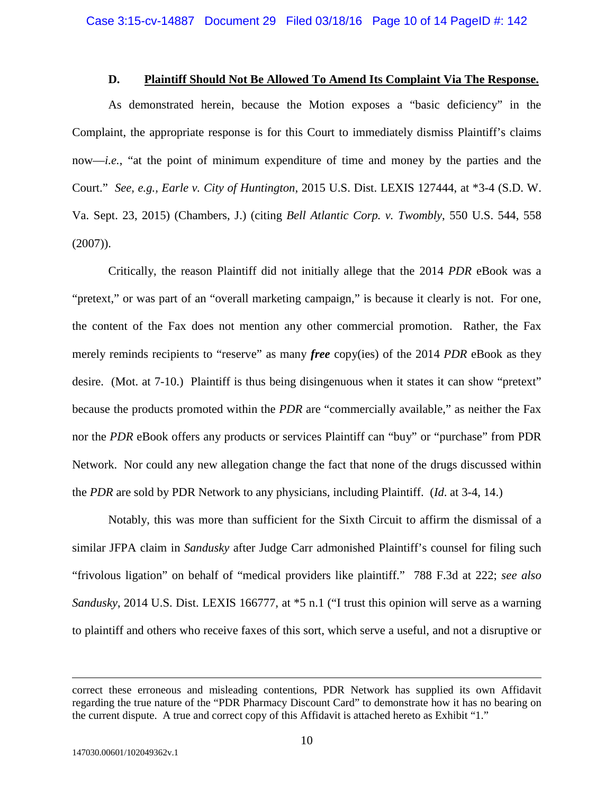#### **D. Plaintiff Should Not Be Allowed To Amend Its Complaint Via The Response.**

As demonstrated herein, because the Motion exposes a "basic deficiency" in the Complaint, the appropriate response is for this Court to immediately dismiss Plaintiff's claims now—*i.e.*, "at the point of minimum expenditure of time and money by the parties and the Court." *See, e.g., Earle v. City of Huntington*, 2015 U.S. Dist. LEXIS 127444, at \*3-4 (S.D. W. Va. Sept. 23, 2015) (Chambers, J.) (citing *Bell Atlantic Corp. v. Twombly*, 550 U.S. 544, 558  $(2007)$ ).

Critically, the reason Plaintiff did not initially allege that the 2014 *PDR* eBook was a "pretext," or was part of an "overall marketing campaign," is because it clearly is not. For one, the content of the Fax does not mention any other commercial promotion. Rather, the Fax merely reminds recipients to "reserve" as many *free* copy(ies) of the 2014 *PDR* eBook as they desire. (Mot. at 7-10.) Plaintiff is thus being disingenuous when it states it can show "pretext" because the products promoted within the *PDR* are "commercially available," as neither the Fax nor the *PDR* eBook offers any products or services Plaintiff can "buy" or "purchase" from PDR Network. Nor could any new allegation change the fact that none of the drugs discussed within the *PDR* are sold by PDR Network to any physicians, including Plaintiff. (*Id*. at 3-4, 14.)

Notably, this was more than sufficient for the Sixth Circuit to affirm the dismissal of a similar JFPA claim in *Sandusky* after Judge Carr admonished Plaintiff's counsel for filing such "frivolous ligation" on behalf of "medical providers like plaintiff." 788 F.3d at 222; *see also Sandusky*, 2014 U.S. Dist. LEXIS 166777, at \*5 n.1 ("I trust this opinion will serve as a warning to plaintiff and others who receive faxes of this sort, which serve a useful, and not a disruptive or

correct these erroneous and misleading contentions, PDR Network has supplied its own Affidavit regarding the true nature of the "PDR Pharmacy Discount Card" to demonstrate how it has no bearing on the current dispute. A true and correct copy of this Affidavit is attached hereto as Exhibit "1."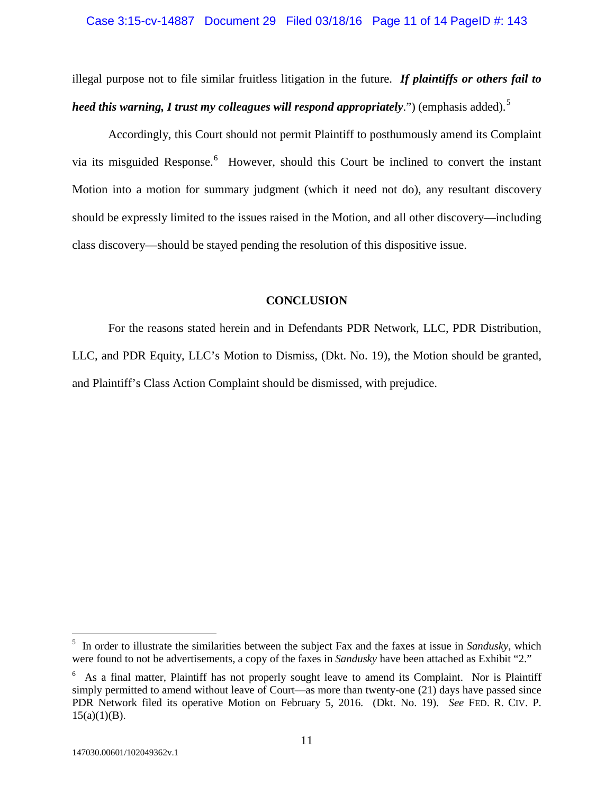# Case 3:15-cv-14887 Document 29 Filed 03/18/16 Page 11 of 14 PageID #: 143

illegal purpose not to file similar fruitless litigation in the future. *If plaintiffs or others fail to heed this warning, I trust my colleagues will respond appropriately.*") (emphasis added).<sup>[5](#page-10-0)</sup>

Accordingly, this Court should not permit Plaintiff to posthumously amend its Complaint via its misguided Response.<sup>[6](#page-10-1)</sup> However, should this Court be inclined to convert the instant Motion into a motion for summary judgment (which it need not do), any resultant discovery should be expressly limited to the issues raised in the Motion, and all other discovery—including class discovery—should be stayed pending the resolution of this dispositive issue.

#### **CONCLUSION**

For the reasons stated herein and in Defendants PDR Network, LLC, PDR Distribution, LLC, and PDR Equity, LLC's Motion to Dismiss, (Dkt. No. 19), the Motion should be granted, and Plaintiff's Class Action Complaint should be dismissed, with prejudice.

<span id="page-10-0"></span><sup>5</sup> In order to illustrate the similarities between the subject Fax and the faxes at issue in *Sandusky*, which were found to not be advertisements, a copy of the faxes in *Sandusky* have been attached as Exhibit "2."

<span id="page-10-1"></span><sup>&</sup>lt;sup>6</sup> As a final matter, Plaintiff has not properly sought leave to amend its Complaint. Nor is Plaintiff simply permitted to amend without leave of Court—as more than twenty-one (21) days have passed since PDR Network filed its operative Motion on February 5, 2016. (Dkt. No. 19). *See* FED. R. CIV. P.  $15(a)(1)(B)$ .